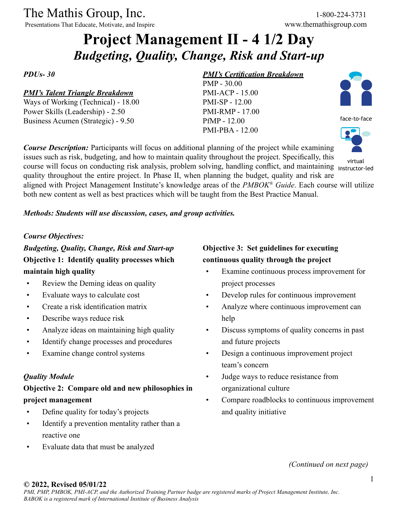Presentations That Educate, Motivate, and Inspire www.themathisgroup.com

# **Project Management II - 4 1/2 Day** *Budgeting, Quality, Change, Risk and Start-up*

*PDUs- 30*

#### *PMI's Talent Triangle Breakdown*

Ways of Working (Technical) - 18.00 Power Skills (Leadership) - 2.50 Business Acumen (Strategic) - 9.50

#### *PMI's Certification Breakdown*

PMP - 30.00 PMI-ACP - 15.00 PMI-SP - 12.00 PMI-RMP - 17.00 PfMP - 12.00 PMI-PBA - 12.00



face-to-face



virtual

course will focus on conducting risk analysis, problem solving, handling conflict, and maintaining instructor-led quality throughout the entire project. In Phase II, when planning the budget, quality and risk are aligned with Project Management Institute's knowledge areas of the *PMBOK® Guide*. Each course will utilize both new content as well as best practices which will be taught from the Best Practice Manual.

*Course Description:* Participants will focus on additional planning of the project while examining issues such as risk, budgeting, and how to maintain quality throughout the project. Specifically, this

#### *Methods: Students will use discussion, cases, and group activities.*

#### *Course Objectives:*

*Budgeting, Quality, Change, Risk and Start-up* **Objective 1: Identify quality processes which maintain high quality**

- Review the Deming ideas on quality
- Evaluate ways to calculate cost
- Create a risk identification matrix
- Describe ways reduce risk
- Analyze ideas on maintaining high quality
- Identify change processes and procedures
- Examine change control systems

#### *Quality Module*

# **Objective 2: Compare old and new philosophies in project management**

- Define quality for today's projects
- Identify a prevention mentality rather than a reactive one
- Evaluate data that must be analyzed

# **Objective 3: Set guidelines for executing continuous quality through the project**

- Examine continuous process improvement for project processes
- Develop rules for continuous improvement
- Analyze where continuous improvement can help
- Discuss symptoms of quality concerns in past and future projects
- Design a continuous improvement project team's concern
- Judge ways to reduce resistance from organizational culture
- Compare roadblocks to continuous improvement and quality initiative

*(Continued on next page)*

#### **© 2022, Revised 05/01/22**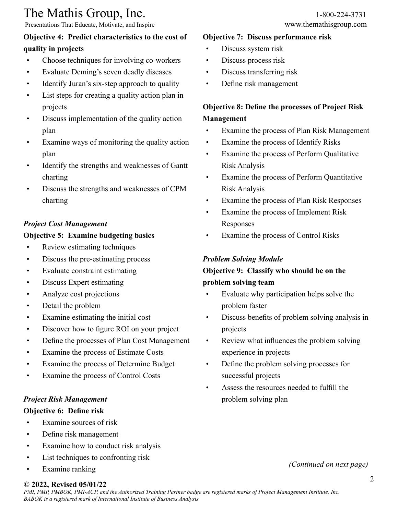Presentations That Educate, Motivate, and Inspire www.themathisgroup.com

## **Objective 4: Predict characteristics to the cost of quality in projects**

- Choose techniques for involving co-workers
- Evaluate Deming's seven deadly diseases
- Identify Juran's six-step approach to quality
- List steps for creating a quality action plan in projects
- Discuss implementation of the quality action plan
- Examine ways of monitoring the quality action plan
- Identify the strengths and weaknesses of Gantt charting
- Discuss the strengths and weaknesses of CPM charting

#### *Project Cost Management*

#### **Objective 5: Examine budgeting basics**

- Review estimating techniques
- Discuss the pre-estimating process
- Evaluate constraint estimating
- Discuss Expert estimating
- Analyze cost projections
- Detail the problem
- Examine estimating the initial cost
- Discover how to figure ROI on your project
- Define the processes of Plan Cost Management
- Examine the process of Estimate Costs
- Examine the process of Determine Budget
- Examine the process of Control Costs

#### *Project Risk Management*

#### **Objective 6: Define risk**

- Examine sources of risk
- Define risk management
- Examine how to conduct risk analysis
- List techniques to confronting risk
- Examine ranking

# **© 2022, Revised 05/01/22**

#### **Objective 7: Discuss performance risk**

- Discuss system risk
- Discuss process risk
- Discuss transferring risk
- Define risk management

# **Objective 8: Define the processes of Project Risk Management**

- Examine the process of Plan Risk Management
- Examine the process of Identify Risks
- Examine the process of Perform Qualitative Risk Analysis
- Examine the process of Perform Quantitative Risk Analysis
- Examine the process of Plan Risk Responses
- Examine the process of Implement Risk Responses
- Examine the process of Control Risks

#### *Problem Solving Module*

# **Objective 9: Classify who should be on the problem solving team**

- Evaluate why participation helps solve the problem faster
- Discuss benefits of problem solving analysis in projects
- Review what influences the problem solving experience in projects
- Define the problem solving processes for successful projects
- Assess the resources needed to fulfill the problem solving plan

*(Continued on next page)*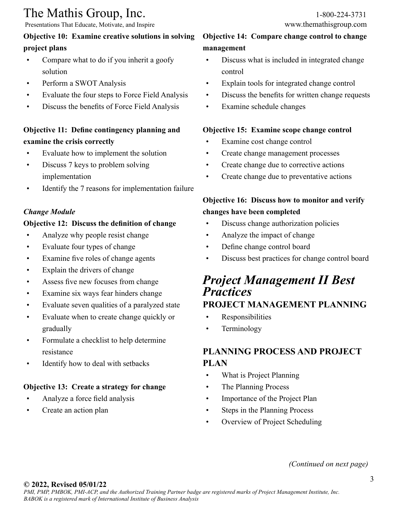Presentations That Educate, Motivate, and Inspire www.themathisgroup.com

#### **Objective 10: Examine creative solutions in solving project plans**

- Compare what to do if you inherit a goofy solution
- Perform a SWOT Analysis
- Evaluate the four steps to Force Field Analysis
- Discuss the benefits of Force Field Analysis

# **Objective 11: Define contingency planning and examine the crisis correctly**

- Evaluate how to implement the solution
- Discuss 7 keys to problem solving implementation
- Identify the 7 reasons for implementation failure

#### *Change Module*

#### **Objective 12: Discuss the definition of change**

- Analyze why people resist change
- Evaluate four types of change
- Examine five roles of change agents
- Explain the drivers of change
- Assess five new focuses from change
- Examine six ways fear hinders change
- Evaluate seven qualities of a paralyzed state
- Evaluate when to create change quickly or gradually
- Formulate a checklist to help determine resistance
- Identify how to deal with setbacks

# **Objective 13: Create a strategy for change**

- Analyze a force field analysis
- Create an action plan

## **Objective 14: Compare change control to change management**

- Discuss what is included in integrated change control
- Explain tools for integrated change control
- Discuss the benefits for written change requests
- Examine schedule changes

#### **Objective 15: Examine scope change control**

- Examine cost change control
- Create change management processes
- Create change due to corrective actions
- Create change due to preventative actions

# **Objective 16: Discuss how to monitor and verify changes have been completed**

- Discuss change authorization policies
- Analyze the impact of change
- Define change control board
- Discuss best practices for change control board

# *Project Management II Best Practices* **PROJECT MANAGEMENT PLANNING**

- Responsibilities
- Terminology

# **PLANNING PROCESS AND PROJECT PLAN**

- What is Project Planning
- The Planning Process
- Importance of the Project Plan
- Steps in the Planning Process
- Overview of Project Scheduling

#### *(Continued on next page)*

#### **© 2022, Revised 05/01/22**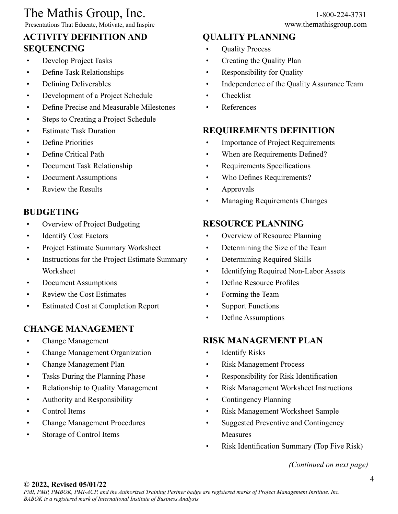# The Mathis Group, Inc. 1-800-224-3731<br>
Presentations That Educate, Motivate, and Inspire www.themathisgroup.com

Presentations That Educate, Motivate, and Inspire

# **ACTIVITY DEFINITION AND SEQUENCING**

- Develop Project Tasks
- Define Task Relationships
- Defining Deliverables
- Development of a Project Schedule
- Define Precise and Measurable Milestones
- Steps to Creating a Project Schedule
- Estimate Task Duration
- Define Priorities
- Define Critical Path
- Document Task Relationship
- Document Assumptions
- Review the Results

# **BUDGETING**

- Overview of Project Budgeting
- Identify Cost Factors
- Project Estimate Summary Worksheet
- Instructions for the Project Estimate Summary Worksheet
- Document Assumptions
- Review the Cost Estimates
- Estimated Cost at Completion Report

# **CHANGE MANAGEMENT**

- Change Management
- Change Management Organization
- Change Management Plan
- Tasks During the Planning Phase
- Relationship to Quality Management
- Authority and Responsibility
- Control Items
- Change Management Procedures
- Storage of Control Items

### **QUALITY PLANNING**

- Quality Process
- Creating the Quality Plan
- Responsibility for Quality
- Independence of the Quality Assurance Team
- Checklist
- References

## **REQUIREMENTS DEFINITION**

- Importance of Project Requirements
- When are Requirements Defined?
- Requirements Specifications
- Who Defines Requirements?
- Approvals
- Managing Requirements Changes

## **RESOURCE PLANNING**

- Overview of Resource Planning
- Determining the Size of the Team
- Determining Required Skills
- Identifying Required Non-Labor Assets
- Define Resource Profiles
- Forming the Team
- Support Functions
- Define Assumptions

#### **RISK MANAGEMENT PLAN**

- Identify Risks
- Risk Management Process
- Responsibility for Risk Identification
- Risk Management Worksheet Instructions
- Contingency Planning
- Risk Management Worksheet Sample
- Suggested Preventive and Contingency Measures
- Risk Identification Summary (Top Five Risk)

*(Continued on next page)*

#### **© 2022, Revised 05/01/22**